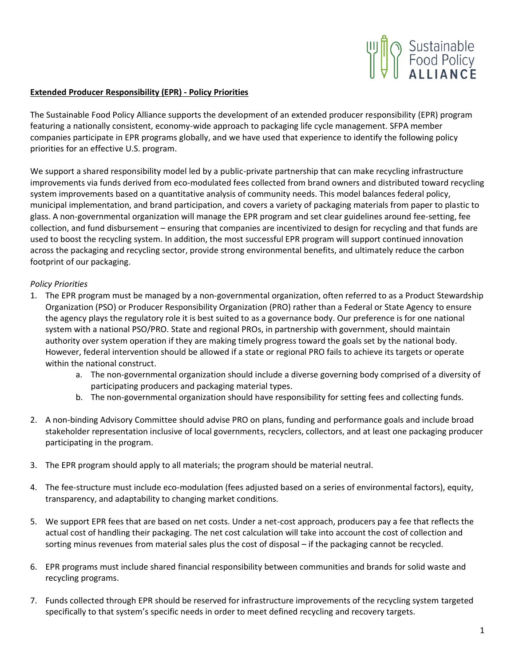

## **Extended Producer Responsibility (EPR) - Policy Priorities**

The Sustainable Food Policy Alliance supports the development of an extended producer responsibility (EPR) program featuring a nationally consistent, economy-wide approach to packaging life cycle management. SFPA member companies participate in EPR programs globally, and we have used that experience to identify the following policy priorities for an effective U.S. program.

We support a shared responsibility model led by a public-private partnership that can make recycling infrastructure improvements via funds derived from eco-modulated fees collected from brand owners and distributed toward recycling system improvements based on a quantitative analysis of community needs. This model balances federal policy, municipal implementation, and brand participation, and covers a variety of packaging materials from paper to plastic to glass. A non-governmental organization will manage the EPR program and set clear guidelines around fee-setting, fee collection, and fund disbursement – ensuring that companies are incentivized to design for recycling and that funds are used to boost the recycling system. In addition, the most successful EPR program will support continued innovation across the packaging and recycling sector, provide strong environmental benefits, and ultimately reduce the carbon footprint of our packaging.

## *Policy Priorities*

- 1. The EPR program must be managed by a non-governmental organization, often referred to as a Product Stewardship Organization (PSO) or Producer Responsibility Organization (PRO) rather than a Federal or State Agency to ensure the agency plays the regulatory role it is best suited to as a governance body. Our preference is for one national system with a national PSO/PRO. State and regional PROs, in partnership with government, should maintain authority over system operation if they are making timely progress toward the goals set by the national body. However, federal intervention should be allowed if a state or regional PRO fails to achieve its targets or operate within the national construct.
	- a. The non-governmental organization should include a diverse governing body comprised of a diversity of participating producers and packaging material types.
	- b. The non-governmental organization should have responsibility for setting fees and collecting funds.
- 2. A non-binding Advisory Committee should advise PRO on plans, funding and performance goals and include broad stakeholder representation inclusive of local governments, recyclers, collectors, and at least one packaging producer participating in the program.
- 3. The EPR program should apply to all materials; the program should be material neutral.
- 4. The fee-structure must include eco-modulation (fees adjusted based on a series of environmental factors), equity, transparency, and adaptability to changing market conditions.
- 5. We support EPR fees that are based on net costs. Under a net-cost approach, producers pay a fee that reflects the actual cost of handling their packaging. The net cost calculation will take into account the cost of collection and sorting minus revenues from material sales plus the cost of disposal – if the packaging cannot be recycled.
- 6. EPR programs must include shared financial responsibility between communities and brands for solid waste and recycling programs.
- 7. Funds collected through EPR should be reserved for infrastructure improvements of the recycling system targeted specifically to that system's specific needs in order to meet defined recycling and recovery targets.